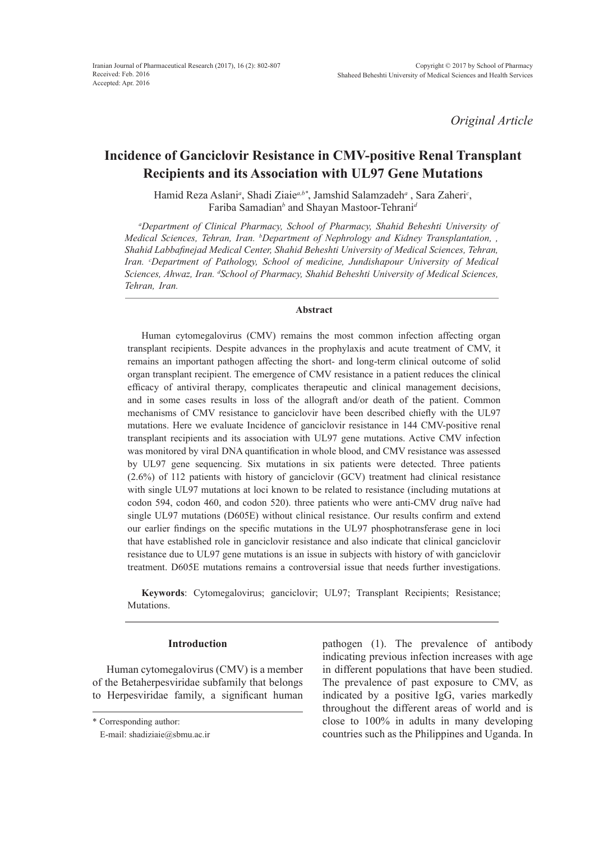*Original Article*

# **Incidence of Ganciclovir Resistance in CMV-positive Renal Transplant Recipients and its Association with UL97 Gene Mutations**

Hamid Reza Aslani*<sup>a</sup>* , Shadi Ziaie*a,b\**, Jamshid Salamzadeh*<sup>a</sup>* , Sara Zaheri*<sup>c</sup>* , Fariba Samadian<sup>b</sup> and Shayan Mastoor-Tehrani<sup>a</sup>

*a Department of Clinical Pharmacy, School of Pharmacy, Shahid Beheshti University of Medical Sciences, Tehran, Iran. b Department of Nephrology and Kidney Transplantation, , Shahid Labbafinejad Medical Center, Shahid Beheshti University of Medical Sciences, Tehran, Iran. c Department of Pathology, School of medicine, Jundishapour University of Medical*  Sciences, Ahwaz, Iran. <sup>d</sup>School of Pharmacy, Shahid Beheshti University of Medical Sciences, *Tehran, Iran.*

#### **Abstract**

Human cytomegalovirus (CMV) remains the most common infection affecting organ transplant recipients. Despite advances in the prophylaxis and acute treatment of CMV, it remains an important pathogen affecting the short- and long-term clinical outcome of solid organ transplant recipient. The emergence of CMV resistance in a patient reduces the clinical efficacy of antiviral therapy, complicates therapeutic and clinical management decisions, and in some cases results in loss of the allograft and/or death of the patient. Common mechanisms of CMV resistance to ganciclovir have been described chiefly with the UL97 mutations. Here we evaluate Incidence of ganciclovir resistance in 144 CMV-positive renal transplant recipients and its association with UL97 gene mutations. Active CMV infection was monitored by viral DNA quantification in whole blood, and CMV resistance was assessed by UL97 gene sequencing. Six mutations in six patients were detected. Three patients (2.6%) of 112 patients with history of ganciclovir (GCV) treatment had clinical resistance with single UL97 mutations at loci known to be related to resistance (including mutations at codon 594, codon 460, and codon 520). three patients who were anti-CMV drug naïve had single UL97 mutations (D605E) without clinical resistance. Our results confirm and extend our earlier findings on the specific mutations in the UL97 phosphotransferase gene in loci that have established role in ganciclovir resistance and also indicate that clinical ganciclovir resistance due to UL97 gene mutations is an issue in subjects with history of with ganciclovir treatment. D605E mutations remains a controversial issue that needs further investigations.

**Keywords**: Cytomegalovirus; ganciclovir; UL97; Transplant Recipients; Resistance; Mutations.

#### **Introduction**

Human cytomegalovirus (CMV) is a member of the Betaherpesviridae subfamily that belongs to Herpesviridae family, a significant human pathogen (1). The prevalence of antibody indicating previous infection increases with age in different populations that have been studied. The prevalence of past exposure to CMV, as indicated by a positive IgG, varies markedly throughout the different areas of world and is close to 100% in adults in many developing countries such as the Philippines and Uganda. In

<sup>\*</sup> Corresponding author:

E-mail: shadiziaie@sbmu.ac.ir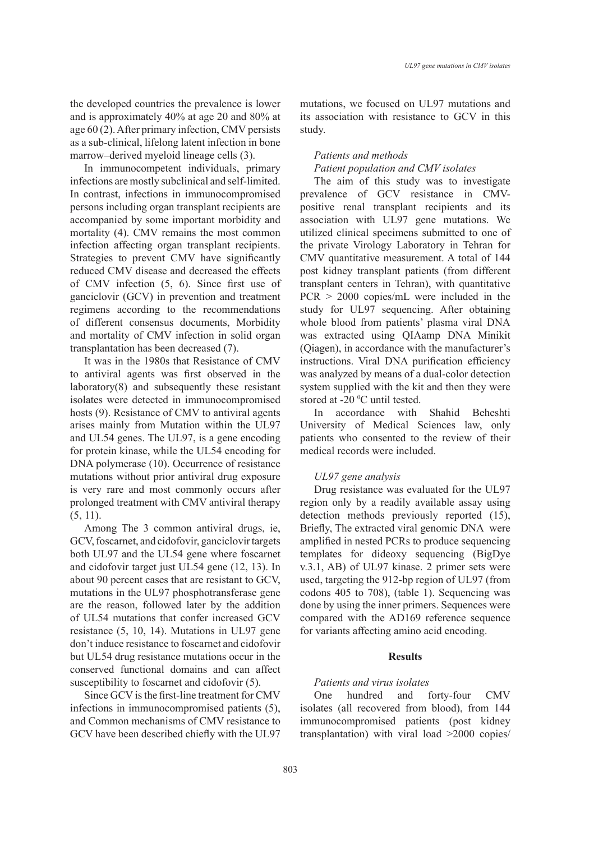the developed countries the prevalence is lower and is approximately 40% at age 20 and 80% at age 60 (2). After primary infection, CMV persists as a sub-clinical, lifelong latent infection in bone marrow–derived myeloid lineage cells (3).

In immunocompetent individuals, primary infections are mostly subclinical and self-limited. In contrast, infections in immunocompromised persons including organ transplant recipients are accompanied by some important morbidity and mortality (4). CMV remains the most common infection affecting organ transplant recipients. Strategies to prevent CMV have significantly reduced CMV disease and decreased the effects of CMV infection (5, 6). Since first use of ganciclovir (GCV) in prevention and treatment regimens according to the recommendations of different consensus documents, Morbidity and mortality of CMV infection in solid organ transplantation has been decreased (7).

It was in the 1980s that Resistance of CMV to antiviral agents was first observed in the laboratory(8) and subsequently these resistant isolates were detected in immunocompromised hosts (9). Resistance of CMV to antiviral agents arises mainly from Mutation within the UL97 and UL54 genes. The UL97, is a gene encoding for protein kinase, while the UL54 encoding for DNA polymerase (10). Occurrence of resistance mutations without prior antiviral drug exposure is very rare and most commonly occurs after prolonged treatment with CMV antiviral therapy  $(5, 11)$ .

Among The 3 common antiviral drugs, ie, GCV, foscarnet, and cidofovir, ganciclovir targets both UL97 and the UL54 gene where foscarnet and cidofovir target just UL54 gene (12, 13). In about 90 percent cases that are resistant to GCV, mutations in the UL97 phosphotransferase gene are the reason, followed later by the addition of UL54 mutations that confer increased GCV resistance (5, 10, 14). Mutations in UL97 gene don't induce resistance to foscarnet and cidofovir but UL54 drug resistance mutations occur in the conserved functional domains and can affect susceptibility to foscarnet and cidofovir (5).

Since GCV is the first-line treatment for CMV infections in immunocompromised patients (5), and Common mechanisms of CMV resistance to GCV have been described chiefly with the UL97 mutations, we focused on UL97 mutations and its association with resistance to GCV in this study.

# *Patients and methods Patient population and CMV isolates*

The aim of this study was to investigate prevalence of GCV resistance in CMVpositive renal transplant recipients and its association with UL97 gene mutations. We utilized clinical specimens submitted to one of the private Virology Laboratory in Tehran for CMV quantitative measurement. A total of 144 post kidney transplant patients (from different transplant centers in Tehran), with quantitative PCR > 2000 copies/mL were included in the study for UL97 sequencing. After obtaining whole blood from patients' plasma viral DNA was extracted using QIAamp DNA Minikit (Qiagen), in accordance with the manufacturer's instructions. Viral DNA purification efficiency was analyzed by means of a dual-color detection system supplied with the kit and then they were stored at  $-20$  °C until tested.

In accordance with Shahid Beheshti University of Medical Sciences law, only patients who consented to the review of their medical records were included.

# *UL97 gene analysis*

Drug resistance was evaluated for the UL97 region only by a readily available assay using detection methods previously reported (15), Briefly, The extracted viral genomic DNA were amplified in nested PCRs to produce sequencing templates for dideoxy sequencing (BigDye v.3.1, AB) of UL97 kinase. 2 primer sets were used, targeting the 912-bp region of UL97 (from codons 405 to 708), (table 1). Sequencing was done by using the inner primers. Sequences were compared with the AD169 reference sequence for variants affecting amino acid encoding.

#### **Results**

# *Patients and virus isolates*

One hundred and forty-four CMV isolates (all recovered from blood), from 144 immunocompromised patients (post kidney transplantation) with viral load >2000 copies/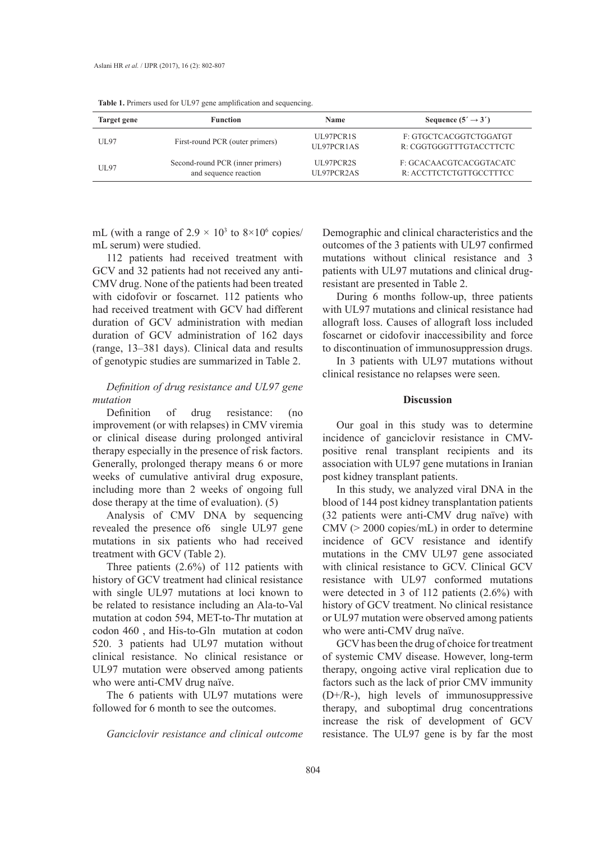| Target gene | <b>Function</b>                                           | <b>Name</b>             | Sequence $(5' \rightarrow 3')$                     |
|-------------|-----------------------------------------------------------|-------------------------|----------------------------------------------------|
| UL97        | First-round PCR (outer primers)                           | UL97PCR1S<br>UL97PCR1AS | F: GTGCTCACGGTCTGGATGT<br>R: CGGTGGGTTTGTACCTTCTC  |
| UT.97       | Second-round PCR (inner primers)<br>and sequence reaction | UL97PCR2S<br>UL97PCR2AS | F: GCACAACGTCACGGTACATC<br>R. ACCTTCTCTGTTGCCTTTCC |

**Table 1.** Primers used for UL97 gene amplification and sequencing.

mL (with a range of  $2.9 \times 10^3$  to  $8 \times 10^6$  copies/ mL serum) were studied.

112 patients had received treatment with GCV and 32 patients had not received any anti-CMV drug. None of the patients had been treated with cidofovir or foscarnet. 112 patients who had received treatment with GCV had different duration of GCV administration with median duration of GCV administration of 162 days (range, 13–381 days). Clinical data and results of genotypic studies are summarized in Table 2.

# *Definition of drug resistance and UL97 gene mutation*

Definition of drug resistance: (no improvement (or with relapses) in CMV viremia or clinical disease during prolonged antiviral therapy especially in the presence of risk factors. Generally, prolonged therapy means 6 or more weeks of cumulative antiviral drug exposure, including more than 2 weeks of ongoing full dose therapy at the time of evaluation). (5)

Analysis of CMV DNA by sequencing revealed the presence of6 single UL97 gene mutations in six patients who had received treatment with GCV (Table 2).

Three patients (2.6%) of 112 patients with history of GCV treatment had clinical resistance with single UL97 mutations at loci known to be related to resistance including an Ala-to-Val mutation at codon 594, MET-to-Thr mutation at codon 460 , and His-to-Gln mutation at codon 520. 3 patients had UL97 mutation without clinical resistance. No clinical resistance or UL97 mutation were observed among patients who were anti-CMV drug naïve.

The 6 patients with UL97 mutations were followed for 6 month to see the outcomes.

*Ganciclovir resistance and clinical outcome*

Demographic and clinical characteristics and the outcomes of the 3 patients with UL97 confirmed mutations without clinical resistance and 3 patients with UL97 mutations and clinical drugresistant are presented in Table 2.

During 6 months follow-up, three patients with UL97 mutations and clinical resistance had allograft loss. Causes of allograft loss included foscarnet or cidofovir inaccessibility and force to discontinuation of immunosuppression drugs.

In 3 patients with UL97 mutations without clinical resistance no relapses were seen.

# **Discussion**

Our goal in this study was to determine incidence of ganciclovir resistance in CMVpositive renal transplant recipients and its association with UL97 gene mutations in Iranian post kidney transplant patients.

In this study, we analyzed viral DNA in the blood of 144 post kidney transplantation patients (32 patients were anti-CMV drug naïve) with CMV (> 2000 copies/mL) in order to determine incidence of GCV resistance and identify mutations in the CMV UL97 gene associated with clinical resistance to GCV. Clinical GCV resistance with UL97 conformed mutations were detected in 3 of 112 patients (2.6%) with history of GCV treatment. No clinical resistance or UL97 mutation were observed among patients who were anti-CMV drug naïve.

GCV has been the drug of choice for treatment of systemic CMV disease. However, long-term therapy, ongoing active viral replication due to factors such as the lack of prior CMV immunity (D+/R-), high levels of immunosuppressive therapy, and suboptimal drug concentrations increase the risk of development of GCV resistance. The UL97 gene is by far the most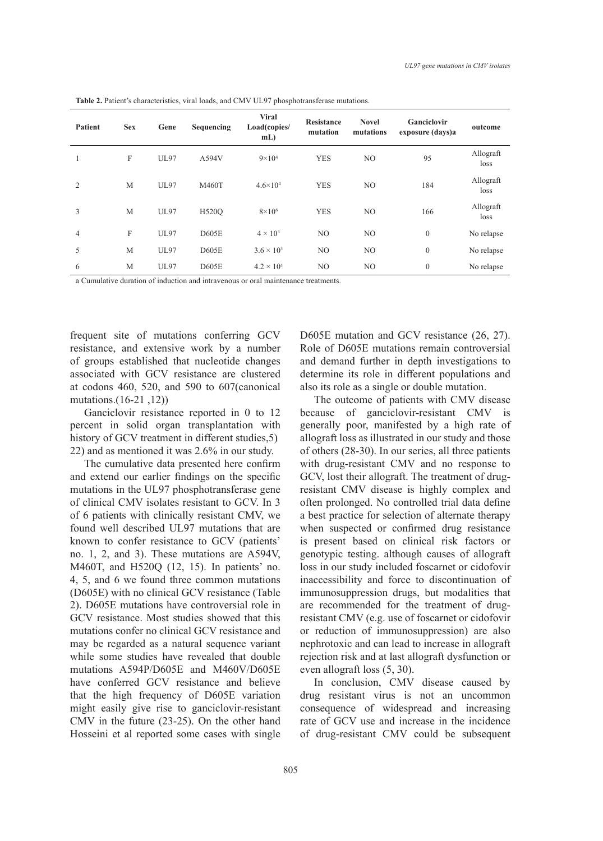| <b>Patient</b> | <b>Sex</b> | Gene        | Sequencing | <b>Viral</b><br>Load(copies/<br>$mL$ ) | <b>Resistance</b><br>mutation | <b>Novel</b><br>mutations | Ganciclovir<br>exposure (days)a | outcome           |
|----------------|------------|-------------|------------|----------------------------------------|-------------------------------|---------------------------|---------------------------------|-------------------|
| 1              | F          | <b>UL97</b> | A594V      | $9 \times 10^{4}$                      | <b>YES</b>                    | N <sub>O</sub>            | 95                              | Allograft<br>loss |
| 2              | M          | <b>UL97</b> | M460T      | $4.6 \times 10^{4}$                    | <b>YES</b>                    | N <sub>O</sub>            | 184                             | Allograft<br>loss |
| 3              | M          | <b>UL97</b> | H520O      | $8\times10^{6}$                        | <b>YES</b>                    | N <sub>O</sub>            | 166                             | Allograft<br>loss |
| $\overline{4}$ | F          | <b>UL97</b> | D605E      | $4 \times 10^3$                        | N <sub>O</sub>                | N <sub>O</sub>            | $\mathbf{0}$                    | No relapse        |
| 5              | M          | <b>UL97</b> | D605E      | $3.6 \times 10^{3}$                    | N <sub>O</sub>                | N <sub>O</sub>            | $\mathbf{0}$                    | No relapse        |
| 6              | M          | <b>UL97</b> | D605E      | $4.2 \times 10^{4}$                    | N <sub>O</sub>                | N <sub>O</sub>            | $\mathbf{0}$                    | No relapse        |

**Table 2.** Patient's characteristics, viral loads, and CMV UL97 phosphotransferase mutations.

a Cumulative duration of induction and intravenous or oral maintenance treatments.

frequent site of mutations conferring GCV resistance, and extensive work by a number of groups established that nucleotide changes associated with GCV resistance are clustered at codons 460, 520, and 590 to 607(canonical mutations. $(16-21, 12)$ )

Ganciclovir resistance reported in 0 to 12 percent in solid organ transplantation with history of GCV treatment in different studies, 5) 22) and as mentioned it was 2.6% in our study.

The cumulative data presented here confirm and extend our earlier findings on the specific mutations in the UL97 phosphotransferase gene of clinical CMV isolates resistant to GCV. In 3 of 6 patients with clinically resistant CMV, we found well described UL97 mutations that are known to confer resistance to GCV (patients' no. 1, 2, and 3). These mutations are A594V, M460T, and H520Q (12, 15). In patients' no. 4, 5, and 6 we found three common mutations (D605E) with no clinical GCV resistance (Table 2). D605E mutations have controversial role in GCV resistance. Most studies showed that this mutations confer no clinical GCV resistance and may be regarded as a natural sequence variant while some studies have revealed that double mutations A594P/D605E and M460V/D605E have conferred GCV resistance and believe that the high frequency of D605E variation might easily give rise to ganciclovir-resistant CMV in the future (23-25). On the other hand Hosseini et al reported some cases with single D605E mutation and GCV resistance (26, 27). Role of D605E mutations remain controversial and demand further in depth investigations to determine its role in different populations and also its role as a single or double mutation.

The outcome of patients with CMV disease because of ganciclovir-resistant CMV is generally poor, manifested by a high rate of allograft loss as illustrated in our study and those of others (28-30). In our series, all three patients with drug-resistant CMV and no response to GCV, lost their allograft. The treatment of drugresistant CMV disease is highly complex and often prolonged. No controlled trial data define a best practice for selection of alternate therapy when suspected or confirmed drug resistance is present based on clinical risk factors or genotypic testing. although causes of allograft loss in our study included foscarnet or cidofovir inaccessibility and force to discontinuation of immunosuppression drugs, but modalities that are recommended for the treatment of drugresistant CMV (e.g. use of foscarnet or cidofovir or reduction of immunosuppression) are also nephrotoxic and can lead to increase in allograft rejection risk and at last allograft dysfunction or even allograft loss (5, 30).

In conclusion, CMV disease caused by drug resistant virus is not an uncommon consequence of widespread and increasing rate of GCV use and increase in the incidence of drug-resistant CMV could be subsequent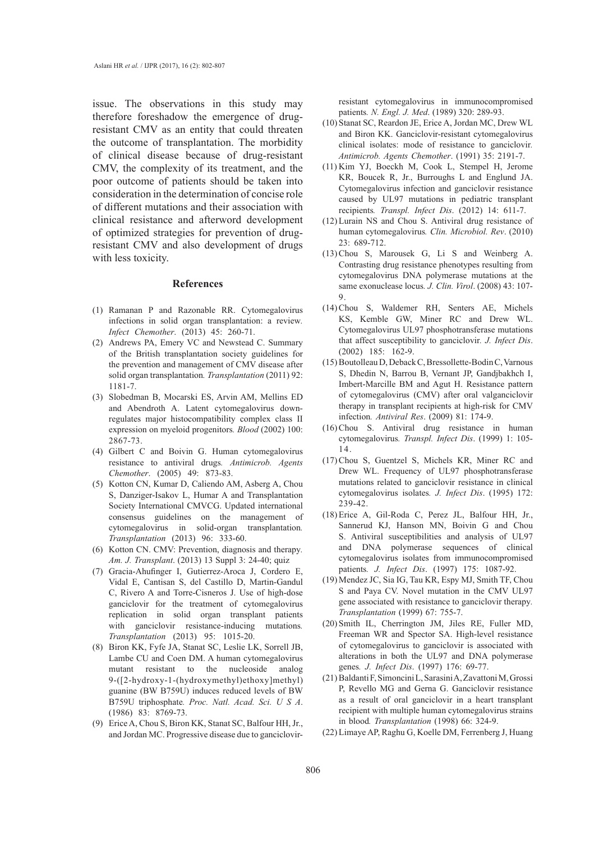issue. The observations in this study may therefore foreshadow the emergence of drugresistant CMV as an entity that could threaten the outcome of transplantation. The morbidity of clinical disease because of drug-resistant CMV, the complexity of its treatment, and the poor outcome of patients should be taken into consideration in the determination of concise role of different mutations and their association with clinical resistance and afterword development of optimized strategies for prevention of drugresistant CMV and also development of drugs with less toxicity.

#### **References**

- Ramanan P and Razonable RR. Cytomegalovirus (1) infections in solid organ transplantation: a review*. Infect Chemother*. (2013) 45: 260-71.
- (2) Andrews PA, Emery VC and Newstead C. Summary of the British transplantation society guidelines for the prevention and management of CMV disease after solid organ transplantation*. Transplantation* (2011) 92: 1181-7.
- (3) Slobedman B, Mocarski ES, Arvin AM, Mellins ED and Abendroth A. Latent cytomegalovirus downregulates major histocompatibility complex class II expression on myeloid progenitors*. Blood* (2002) 100: 2867-73.
- (4) Gilbert C and Boivin G. Human cytomegalovirus resistance to antiviral drugs*. Antimicrob. Agents Chemother*. (2005) 49: 873-83.
- (5) Kotton CN, Kumar D, Caliendo AM, Asberg A, Chou S, Danziger-Isakov L, Humar A and Transplantation Society International CMVCG. Updated international consensus guidelines on the management of cytomegalovirus in solid-organ transplantation*. Transplantation* (2013) 96: 333-60.
- (6) Kotton CN. CMV: Prevention, diagnosis and therapy. *Am. J. Transplant*. (2013) 13 Suppl 3: 24-40; quiz
- Gracia-Ahufinger I, Gutierrez-Aroca J, Cordero E, (7) Vidal E, Cantisan S, del Castillo D, Martin-Gandul C, Rivero A and Torre-Cisneros J. Use of high-dose ganciclovir for the treatment of cytomegalovirus replication in solid organ transplant patients with ganciclovir resistance-inducing mutations*. Transplantation* (2013) 95: 1015-20.
- Biron KK, Fyfe JA, Stanat SC, Leslie LK, Sorrell JB, (8) Lambe CU and Coen DM. A human cytomegalovirus mutant resistant to the nucleoside analog 9-([2-hydroxy-1-(hydroxymethyl)ethoxy]methyl) guanine (BW B759U) induces reduced levels of BW B759U triphosphate*. Proc. Natl. Acad. Sci. U S A*. (1986) 83: 8769-73.
- Erice A, Chou S, Biron KK, Stanat SC, Balfour HH, Jr., (9) and Jordan MC. Progressive disease due to ganciclovir-

resistant cytomegalovirus in immunocompromised patients*. N. Engl. J. Med*. (1989) 320: 289-93.

- (10) Stanat SC, Reardon JE, Erice A, Jordan MC, Drew WL and Biron KK. Ganciclovir-resistant cytomegalovirus clinical isolates: mode of resistance to ganciclovir*. Antimicrob. Agents Chemother*. (1991) 35: 2191-7.
- $(11)$  Kim YJ, Boeckh M, Cook L, Stempel H, Jerome KR, Boucek R, Jr., Burroughs L and Englund JA. Cytomegalovirus infection and ganciclovir resistance caused by UL97 mutations in pediatric transplant recipients*. Transpl. Infect Dis*. (2012) 14: 611-7.
- Lurain NS and Chou S. Antiviral drug resistance of (12) human cytomegalovirus*. Clin. Microbiol. Rev*. (2010) 23: 689-712.
- $(13)$  Chou S, Marousek G, Li S and Weinberg A. Contrasting drug resistance phenotypes resulting from cytomegalovirus DNA polymerase mutations at the same exonuclease locus*. J. Clin. Virol*. (2008) 43: 107- 9.
- (14) Chou S, Waldemer RH, Senters AE, Michels KS, Kemble GW, Miner RC and Drew WL. Cytomegalovirus UL97 phosphotransferase mutations that affect susceptibility to ganciclovir*. J. Infect Dis*. (2002) 185: 162-9.
- Boutolleau D, Deback C, Bressollette-Bodin C, Varnous (15) S, Dhedin N, Barrou B, Vernant JP, Gandjbakhch I, Imbert-Marcille BM and Agut H. Resistance pattern of cytomegalovirus (CMV) after oral valganciclovir therapy in transplant recipients at high-risk for CMV infection*. Antiviral Res*. (2009) 81: 174-9.
- $(16)$  Chou S. Antiviral drug resistance in human cytomegalovirus*. Transpl. Infect Dis*. (1999) 1: 105- 14.
- $(17)$  Chou S, Guentzel S, Michels KR, Miner RC and Drew WL. Frequency of UL97 phosphotransferase mutations related to ganciclovir resistance in clinical cytomegalovirus isolates*. J. Infect Dis*. (1995) 172: 239-42.
- (18) Erice A, Gil-Roda C, Perez JL, Balfour HH, Jr., Sannerud KJ, Hanson MN, Boivin G and Chou S. Antiviral susceptibilities and analysis of UL97 and DNA polymerase sequences of clinical cytomegalovirus isolates from immunocompromised patients*. J. Infect Dis*. (1997) 175: 1087-92.
- (19) Mendez JC, Sia IG, Tau KR, Espy MJ, Smith TF, Chou S and Paya CV. Novel mutation in the CMV UL97 gene associated with resistance to ganciclovir therapy*. Transplantation* (1999) 67: 755-7.
- (20) Smith IL, Cherrington JM, Jiles RE, Fuller MD, Freeman WR and Spector SA. High-level resistance of cytomegalovirus to ganciclovir is associated with alterations in both the UL97 and DNA polymerase genes*. J. Infect Dis*. (1997) 176: 69-77.
- Baldanti F, Simoncini L, Sarasini A, Zavattoni M, Grossi (21) P, Revello MG and Gerna G. Ganciclovir resistance as a result of oral ganciclovir in a heart transplant recipient with multiple human cytomegalovirus strains in blood*. Transplantation* (1998) 66: 324-9.
- (22) Limaye AP, Raghu G, Koelle DM, Ferrenberg J, Huang